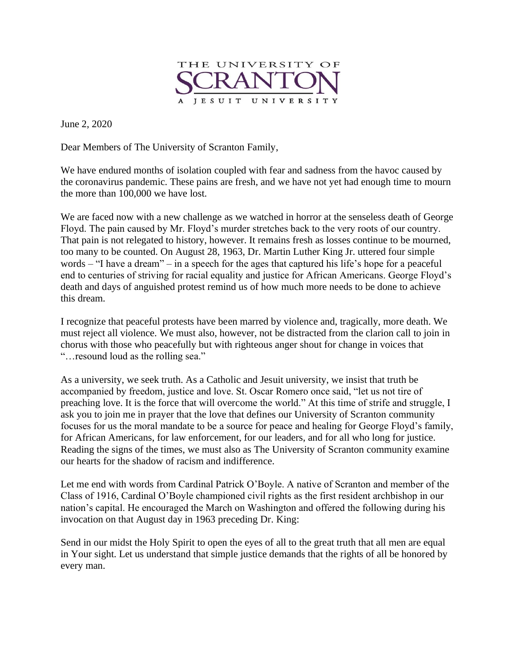

June 2, 2020

Dear Members of The University of Scranton Family,

We have endured months of isolation coupled with fear and sadness from the havoc caused by the coronavirus pandemic. These pains are fresh, and we have not yet had enough time to mourn the more than 100,000 we have lost.

We are faced now with a new challenge as we watched in horror at the senseless death of George Floyd. The pain caused by Mr. Floyd's murder stretches back to the very roots of our country. That pain is not relegated to history, however. It remains fresh as losses continue to be mourned, too many to be counted. On August 28, 1963, Dr. Martin Luther King Jr. uttered four simple words – "I have a dream" – in a speech for the ages that captured his life's hope for a peaceful end to centuries of striving for racial equality and justice for African Americans. George Floyd's death and days of anguished protest remind us of how much more needs to be done to achieve this dream.

I recognize that peaceful protests have been marred by violence and, tragically, more death. We must reject all violence. We must also, however, not be distracted from the clarion call to join in chorus with those who peacefully but with righteous anger shout for change in voices that "…resound loud as the rolling sea."

As a university, we seek truth. As a Catholic and Jesuit university, we insist that truth be accompanied by freedom, justice and love. St. Oscar Romero once said, "let us not tire of preaching love. It is the force that will overcome the world." At this time of strife and struggle, I ask you to join me in prayer that the love that defines our University of Scranton community focuses for us the moral mandate to be a source for peace and healing for George Floyd's family, for African Americans, for law enforcement, for our leaders, and for all who long for justice. Reading the signs of the times, we must also as The University of Scranton community examine our hearts for the shadow of racism and indifference.

Let me end with words from Cardinal Patrick O'Boyle. A native of Scranton and member of the Class of 1916, Cardinal O'Boyle championed civil rights as the first resident archbishop in our nation's capital. He encouraged the March on Washington and offered the following during his invocation on that August day in 1963 preceding Dr. King:

Send in our midst the Holy Spirit to open the eyes of all to the great truth that all men are equal in Your sight. Let us understand that simple justice demands that the rights of all be honored by every man.